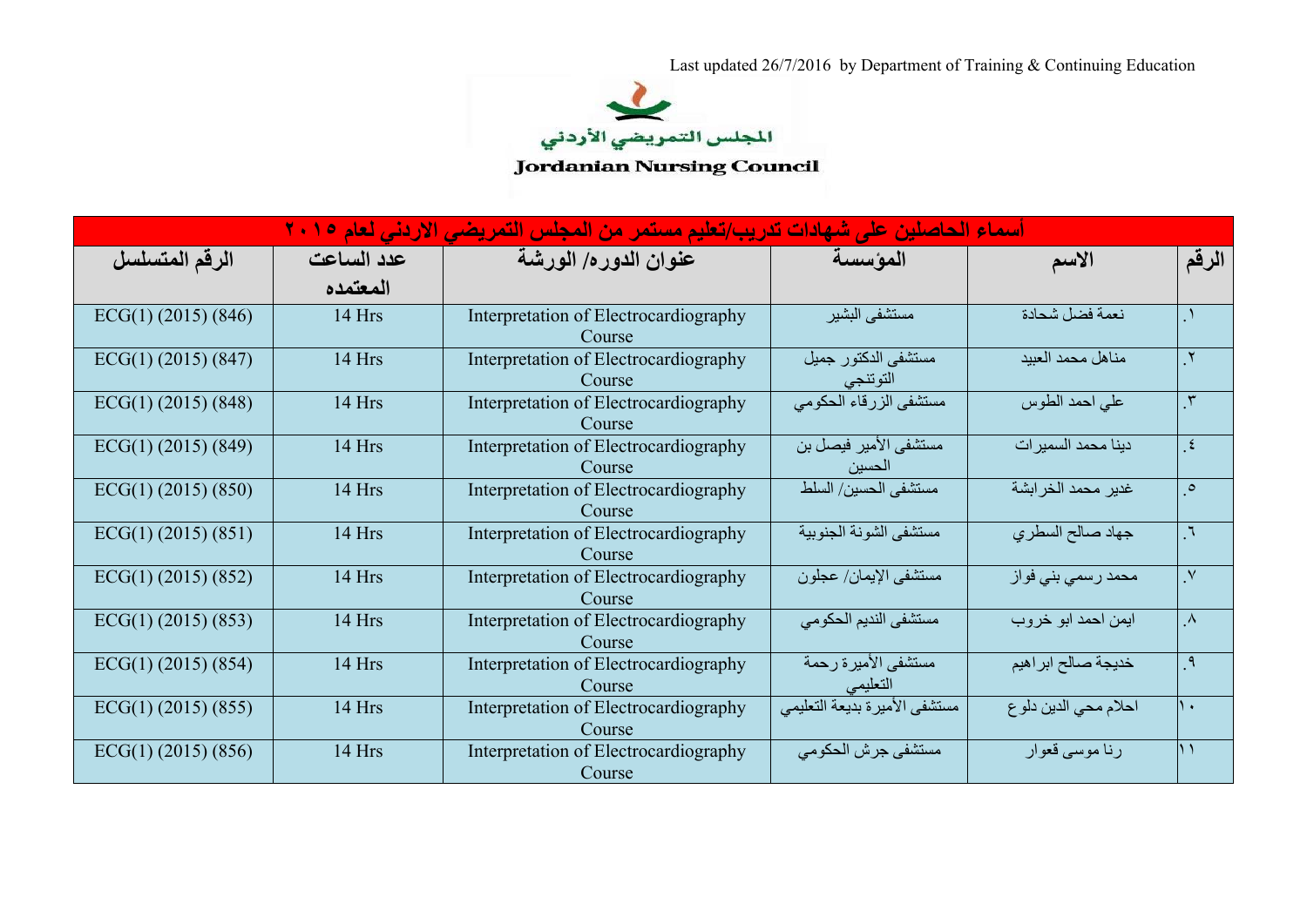

**Jordanian Nursing Council** 

| أسماء الحاصلين على شهادات تدريب/تعليم مستمر من المجلس التمريضي الاردني لعام ٢٠١٥ |            |                                                 |                                 |                      |               |  |
|----------------------------------------------------------------------------------|------------|-------------------------------------------------|---------------------------------|----------------------|---------------|--|
| الرقم المتسلسل                                                                   | عدد الساعت | عنوان الدوره/ الورشة                            | المؤسسة                         | الاسم                | الرقم         |  |
|                                                                                  | المعتمده   |                                                 |                                 |                      |               |  |
| $ECG(1)$ (2015) (846)                                                            | 14 Hrs     | Interpretation of Electrocardiography<br>Course | مستشفى البشير                   | نعمة فضل شحادة       |               |  |
| $ECG(1)$ (2015) (847)                                                            | 14 Hrs     | Interpretation of Electrocardiography<br>Course | مستشفى الدكتور جميل<br>التوتنجي | مناهل محمد العبيد    | $\mathbf{r}$  |  |
| $ECG(1)$ (2015) (848)                                                            | 14 Hrs     | Interpretation of Electrocardiography<br>Course | مستشفى الزرقاء الحكومي          | علي احمد الطوس       | $\mathbf{r}$  |  |
| $ECG(1)$ (2015) (849)                                                            | 14 Hrs     | Interpretation of Electrocardiography<br>Course | مستشفى الأمير فيصل بن<br>الحسين | دينا محمد السمير ات  | $\epsilon$    |  |
| $ECG(1)$ (2015) (850)                                                            | 14 Hrs     | Interpretation of Electrocardiography<br>Course | مستشفى الحسين/ السلط            | غدير محمد الخر ابشة  | $\circ$       |  |
| $ECG(1)$ (2015) (851)                                                            | 14 Hrs     | Interpretation of Electrocardiography<br>Course | مستشفى الشونة الجنوبية          | جهاد صالح السطري     | $\mathcal{L}$ |  |
| $ECG(1)$ (2015) (852)                                                            | 14 Hrs     | Interpretation of Electrocardiography<br>Course | مستشفى الإيمان/ عجلون           | محمد رسمي بني فواز   | $\mathsf{v}$  |  |
| $ECG(1)$ (2015) (853)                                                            | 14 Hrs     | Interpretation of Electrocardiography<br>Course | مستشفى النديم الحكومي           | ايمن احمد ابو خروب   | $\Lambda$     |  |
| $ECG(1)$ (2015) (854)                                                            | 14 Hrs     | Interpretation of Electrocardiography<br>Course | مستشفى الأميرة رحمة<br>التعليمي | خديجة صالح ابراهيم   | $\mathcal{A}$ |  |
| $ECG(1)$ (2015) (855)                                                            | 14 Hrs     | Interpretation of Electrocardiography<br>Course | مستشفى الأميرة بديعة التعليمي   | احلام محي الدين دلوع | ١.            |  |
| $ECG(1)$ (2015) (856)                                                            | 14 Hrs     | Interpretation of Electrocardiography<br>Course | مستشفى جرش الحكومي              | رنا موسى قعوار       | ۱۱            |  |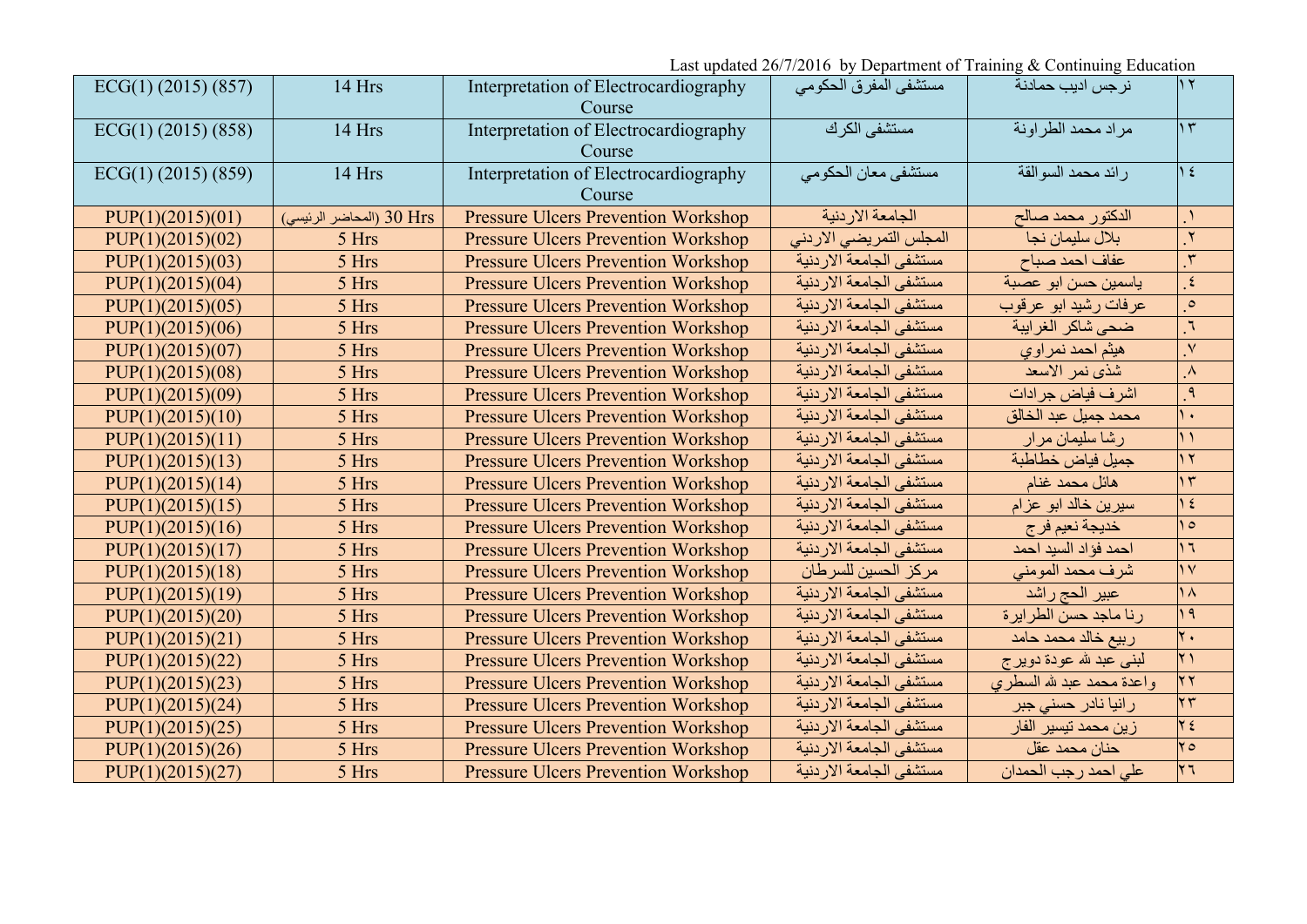| $ECG(1)$ (2015) (857) | 14 Hrs                   | Interpretation of Electrocardiography      | مستشفى المفرق الحكومي    | نرجس اديب حمادنة          | $\gamma$                  |
|-----------------------|--------------------------|--------------------------------------------|--------------------------|---------------------------|---------------------------|
|                       |                          | Course                                     |                          |                           |                           |
| $ECG(1)$ (2015) (858) | 14 Hrs                   | Interpretation of Electrocardiography      | مستشفى الكر ك            | مراد محمد الطراونة        | $\overline{15}$           |
|                       |                          | Course                                     |                          |                           |                           |
| $ECG(1)$ (2015) (859) | 14 Hrs                   | Interpretation of Electrocardiography      | مستشفى معان الحكومي      | ر ائد محمد السو القة      | $\frac{1}{2}$             |
|                       |                          | Course                                     |                          |                           |                           |
| PUP(1)(2015)(01)      | 30 Hrs (المحاضر الرئيسي) | <b>Pressure Ulcers Prevention Workshop</b> | الجامعة الاردنية         | الدكتور محمد صالح         |                           |
| PUP(1)(2015)(02)      | 5 Hrs                    | <b>Pressure Ulcers Prevention Workshop</b> | المجلس التمريضي الاردني  | بلال سليمان نجا           | $\mathsf{Y}$              |
| PUP(1)(2015)(03)      | 5 Hrs                    | <b>Pressure Ulcers Prevention Workshop</b> | مستشفى الجامعة الاردنية  | عفاف احمد صباح            | $\overline{r}$            |
| PUP(1)(2015)(04)      | 5 Hrs                    | <b>Pressure Ulcers Prevention Workshop</b> | مستشفى الجامعة الاردنية  | ياسمين حسن ابو عصبة       | ٤                         |
| PUP(1)(2015)(05)      | 5 Hrs                    | <b>Pressure Ulcers Prevention Workshop</b> | مستشفى الجامعة الاردنية  | عرفات رشيد ابو عرقوب      | $\circ$                   |
| PUP(1)(2015)(06)      | 5 Hrs                    | <b>Pressure Ulcers Prevention Workshop</b> | مستشفى الجامعة الاردنية  | ضحى شاكر الغرابية         | $\mathbb T$               |
| PUP(1)(2015)(07)      | 5 Hrs                    | <b>Pressure Ulcers Prevention Workshop</b> | مستشفى الجامعة الاردنية  | هيثم احمد نمر اوي         | $\boldsymbol{\mathsf{V}}$ |
| PUP(1)(2015)(08)      | 5 Hrs                    | <b>Pressure Ulcers Prevention Workshop</b> | مستشفى الجامعة الاردنية  | شذى نمر الاسعد            | $\lambda$                 |
| PUP(1)(2015)(09)      | 5 Hrs                    | <b>Pressure Ulcers Prevention Workshop</b> | مستشفى الجامعة الاردنية  | اشرف فياض جرادات          | $\mathsf q$               |
| PUP(1)(2015)(10)      | 5 Hrs                    | <b>Pressure Ulcers Prevention Workshop</b> | مستشفى الجامعة الاردنية  | محمد جميل عبد الخالق      | ١٠                        |
| PUP(1)(2015)(11)      | 5 Hrs                    | <b>Pressure Ulcers Prevention Workshop</b> | مستشفى الجامعة الاردنية  | رشا سليمان مرار           | $\setminus$               |
| PUP(1)(2015)(13)      | 5 Hrs                    | <b>Pressure Ulcers Prevention Workshop</b> | مستشفى الجامعة الاردنية  | جميل فياض خطاطبة          | $\gamma$                  |
| PUP(1)(2015)(14)      | 5 Hrs                    | <b>Pressure Ulcers Prevention Workshop</b> | مستشفى الجامعة الاردنية  | هائل محمد غنام            | $\mathcal{L}$             |
| PUP(1)(2015)(15)      | 5 Hrs                    | <b>Pressure Ulcers Prevention Workshop</b> | مستشفى الجامعة الاردنية  | سيرين خالد ابو عزام       | $\frac{1}{2}$             |
| PUP(1)(2015)(16)      | 5 Hrs                    | <b>Pressure Ulcers Prevention Workshop</b> | مستشفى الجامعة الاردنية  | خديجة نعيم فرج            | ٥ ١                       |
| PUP(1)(2015)(17)      | 5 Hrs                    | <b>Pressure Ulcers Prevention Workshop</b> | مستشفى الجامعة الاردنية  | احمد فؤاد السيد احمد      | $\overline{7}$            |
| PUP(1)(2015)(18)      | 5 Hrs                    | <b>Pressure Ulcers Prevention Workshop</b> | مركز الحسين للسرطان      | شرف محمد المومني          | $\sqrt{}$                 |
| PUP(1)(2015)(19)      | 5 Hrs                    | <b>Pressure Ulcers Prevention Workshop</b> | مستشفى الجامعة الاردنية  | عبير الحج راشد            | $\lambda$                 |
| PUP(1)(2015)(20)      | 5 Hrs                    | <b>Pressure Ulcers Prevention Workshop</b> | مستشفى الجامعة الار دنية | رنا ماجد حسن الطرايرة     | 19                        |
| PUP(1)(2015)(21)      | 5 Hrs                    | <b>Pressure Ulcers Prevention Workshop</b> | مستشفى الجامعة الاردنية  | ربيع خالد محمد حامد       | $\overline{\cdot}$        |
| PUP(1)(2015)(22)      | 5 Hrs                    | <b>Pressure Ulcers Prevention Workshop</b> | مستشفى الجامعة الاردنية  | لبني عبد لله عودة دوير ج  | $\overline{Y}$            |
| PUP(1)(2015)(23)      | 5 Hrs                    | <b>Pressure Ulcers Prevention Workshop</b> | مستشفى الجامعة الاردنية  | واعدة محمد عبد لله السطري | $\mathbf{r}$              |
| PUP(1)(2015)(24)      | 5 Hrs                    | <b>Pressure Ulcers Prevention Workshop</b> | مستشفى الجامعة الاردنية  | رانيا نادر حسني جبر       | $\overline{\tau}$         |
| PUP(1)(2015)(25)      | 5 Hrs                    | <b>Pressure Ulcers Prevention Workshop</b> | مستشفى الجامعة الاردنية  | زين محمد تيسير الفار      | $\forall$ {               |
| PUP(1)(2015)(26)      | 5 Hrs                    | <b>Pressure Ulcers Prevention Workshop</b> | مستشفى الجامعة الاردنية  | حنان محمد عقل             | $\mathbf{r}$              |
| PUP(1)(2015)(27)      | 5 Hrs                    | <b>Pressure Ulcers Prevention Workshop</b> | مستشفى الجامعة الار دنبة | على احمد رجب الحمدان      | $\overline{Y}$            |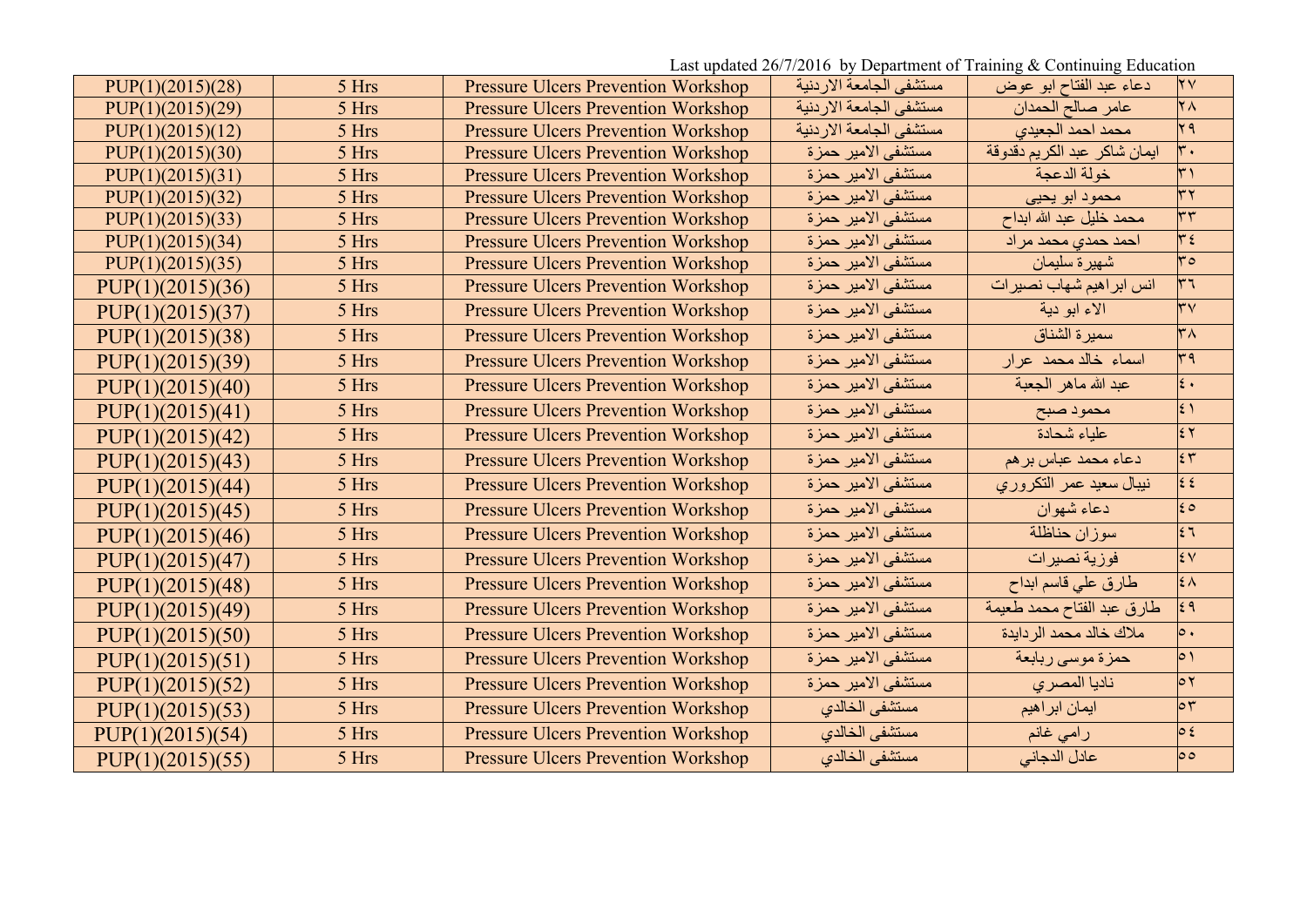Last updated 26/7/2016 by Department of Training & Continuing Education

| PUP(1)(2015)(28) | 5 Hrs | <b>Pressure Ulcers Prevention Workshop</b> | مستشفى الجامعة الاردنية | دعاء عبد الفتاح ابو عوض      | $\mathsf{Y}\mathsf{V}$ |
|------------------|-------|--------------------------------------------|-------------------------|------------------------------|------------------------|
| PUP(1)(2015)(29) | 5 Hrs | <b>Pressure Ulcers Prevention Workshop</b> | مستشفى الجامعة الاردنية | عامر صالح الحمدان            | $\mathsf{Y}\wedge$     |
| PUP(1)(2015)(12) | 5 Hrs | <b>Pressure Ulcers Prevention Workshop</b> | مستشفى الجامعة الاردنية | محمد احمد الجعيدي            | ۲۹                     |
| PUP(1)(2015)(30) | 5 Hrs | <b>Pressure Ulcers Prevention Workshop</b> | مستشفى الامير حمزة      | ايمان شاكر عبد الكريم دقدوقة | ٣٠                     |
| PUP(1)(2015)(31) | 5 Hrs | <b>Pressure Ulcers Prevention Workshop</b> | مستشفى الامير حمزة      | خولة الدعجة                  | ٣١                     |
| PUP(1)(2015)(32) | 5 Hrs | <b>Pressure Ulcers Prevention Workshop</b> | مستشفى الامير حمزة      | محمود ابو يحيى               | ٣٢                     |
| PUP(1)(2015)(33) | 5 Hrs | <b>Pressure Ulcers Prevention Workshop</b> | مستشفى الامير حمزة      | محمد خلیل عبد الله ابداح     | ٣٣                     |
| PUP(1)(2015)(34) | 5 Hrs | <b>Pressure Ulcers Prevention Workshop</b> | مستشفى الامير حمزة      | احمد حمدي محمد مراد          | ۳٤                     |
| PUP(1)(2015)(35) | 5 Hrs | <b>Pressure Ulcers Prevention Workshop</b> | مستشفى الامير حمزة      | شهيرة سليمان                 | ٣٥                     |
| PUP(1)(2015)(36) | 5 Hrs | <b>Pressure Ulcers Prevention Workshop</b> | مستشفى الامير حمزة      | انس ابراهيم شهاب نصيرات      | لما                    |
| PUP(1)(2015)(37) | 5 Hrs | <b>Pressure Ulcers Prevention Workshop</b> | مستشفى الامير حمزة      | الاء ابو دية                 | $r\vee$                |
| PUP(1)(2015)(38) | 5 Hrs | <b>Pressure Ulcers Prevention Workshop</b> | مستشفى الامير حمزة      | سميرة الشناق                 | ۳۸                     |
| PUP(1)(2015)(39) | 5 Hrs | <b>Pressure Ulcers Prevention Workshop</b> | مستشفى الامير حمزة      | اسماء خالد محمد عرار         | r <sub>9</sub>         |
| PUP(1)(2015)(40) | 5 Hrs | <b>Pressure Ulcers Prevention Workshop</b> | مستشفى الامير حمزة      | عبد الله ماهر الجعبة         | $\epsilon$ .           |
| PUP(1)(2015)(41) | 5 Hrs | <b>Pressure Ulcers Prevention Workshop</b> | مستشفى الامير حمزة      | محمود صبح                    | 51                     |
| PUP(1)(2015)(42) | 5 Hrs | <b>Pressure Ulcers Prevention Workshop</b> | مستشفى الامير حمزة      | علياء شحادة                  | 55                     |
| PUP(1)(2015)(43) | 5 Hrs | <b>Pressure Ulcers Prevention Workshop</b> | مستشفى الامير حمزة      | دعاء محمد عباس بر هم         | $\epsilon$ $\tau$      |
| PUP(1)(2015)(44) | 5 Hrs | <b>Pressure Ulcers Prevention Workshop</b> | مستشفى الامير حمزة      | نيبال سعيد عمر التكروري      | $\epsilon$ $\epsilon$  |
| PUP(1)(2015)(45) | 5 Hrs | <b>Pressure Ulcers Prevention Workshop</b> | مستشفى الامير حمزة      | دعاء شهو ان                  | $\epsilon$ 0           |
| PUP(1)(2015)(46) | 5 Hrs | <b>Pressure Ulcers Prevention Workshop</b> | مستشفى الامير حمزة      | سوزان حناظلة                 | 55                     |
| PUP(1)(2015)(47) | 5 Hrs | <b>Pressure Ulcers Prevention Workshop</b> | مستشفى الامير حمزة      | فوزية نصيرات                 | ٤V                     |
| PUP(1)(2015)(48) | 5 Hrs | <b>Pressure Ulcers Prevention Workshop</b> | مستشفى الامير حمزة      | طارق على قاسم ابداح          | $5\lambda$             |
| PUP(1)(2015)(49) | 5 Hrs | <b>Pressure Ulcers Prevention Workshop</b> | مستشفى الامير حمزة      | طارق عبد الفتاح محمد طعيمة   | 59                     |
| PUP(1)(2015)(50) | 5 Hrs | <b>Pressure Ulcers Prevention Workshop</b> | مستشفى الامير حمزة      | ملاك خالد محمد الردايدة      | $\circ$ .              |
| PUP(1)(2015)(51) | 5 Hrs | <b>Pressure Ulcers Prevention Workshop</b> | مستشفى الامير حمزة      | حمزة موسى ربابعة             | $ 0 \rangle$           |
| PUP(1)(2015)(52) | 5 Hrs | <b>Pressure Ulcers Prevention Workshop</b> | مستشفى الامير حمزة      | ناديا المصري                 | $\sigma$               |
| PUP(1)(2015)(53) | 5 Hrs | <b>Pressure Ulcers Prevention Workshop</b> | مستشفى الخالدي          | ایمان ابر اهیم               | $\circ$ ۳              |
| PUP(1)(2015)(54) | 5 Hrs | <b>Pressure Ulcers Prevention Workshop</b> | مستشفى الخالدى          | رامي غانم                    | $\circ$ {              |
| PUP(1)(2015)(55) | 5 Hrs | <b>Pressure Ulcers Prevention Workshop</b> | مستشفى الخالدى          | عادل الدجاني                 | $\circ$                |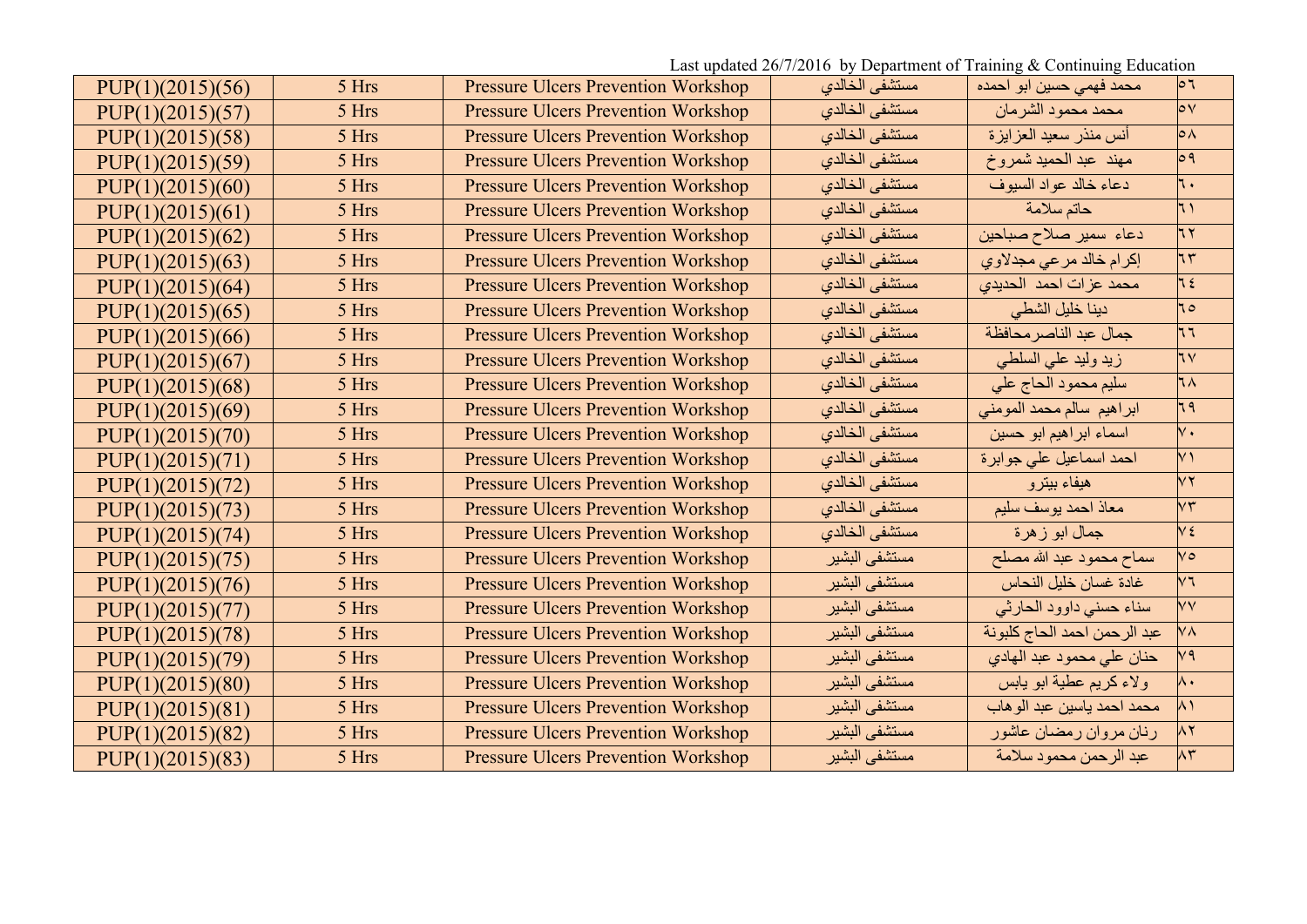Last updated 26/7/2016 by Department of Training & Continuing Education

| PUP(1)(2015)(56) | 5 Hrs | <b>Pressure Ulcers Prevention Workshop</b> | مستشفى الخالدي | محمد فهمي حسين ابو احمده     | $\sigma$             |
|------------------|-------|--------------------------------------------|----------------|------------------------------|----------------------|
| PUP(1)(2015)(57) | 5 Hrs | <b>Pressure Ulcers Prevention Workshop</b> | مستشفى الخالدي | محمد محمود الشرمان           | $\overline{\circ v}$ |
| PUP(1)(2015)(58) | 5 Hrs | <b>Pressure Ulcers Prevention Workshop</b> | مستشفى الخالدي | أنس منذر سعيد العزايزة       | $\circ \wedge$       |
| PUP(1)(2015)(59) | 5 Hrs | <b>Pressure Ulcers Prevention Workshop</b> | مستشفى الخالدي | مهند عبد الحميد شمروخ        | $\circ$ 9            |
| PUP(1)(2015)(60) | 5 Hrs | <b>Pressure Ulcers Prevention Workshop</b> | مستشفى الخالدي | دعاء خالد عواد السيوف        | h٠                   |
| PUP(1)(2015)(61) | 5 Hrs | <b>Pressure Ulcers Prevention Workshop</b> | مستشفى الخالدي | حاتم سلامة                   | ٦١                   |
| PUP(1)(2015)(62) | 5 Hrs | <b>Pressure Ulcers Prevention Workshop</b> | مستشفى الخالدي | دعاء سمير صلاح صباحين        | $\mathbf{r}$         |
| PUP(1)(2015)(63) | 5 Hrs | <b>Pressure Ulcers Prevention Workshop</b> | مستشفى الخالدي | إكرام خالد مرعي مجدلاوي      | 75                   |
| PUP(1)(2015)(64) | 5 Hrs | <b>Pressure Ulcers Prevention Workshop</b> | مستشفى الخالدي | محمد عزات احمد الحديدي       | 75                   |
| PUP(1)(2015)(65) | 5 Hrs | <b>Pressure Ulcers Prevention Workshop</b> | مستشفى الخالدي | دينا خليل الشطي              | 70                   |
| PUP(1)(2015)(66) | 5 Hrs | <b>Pressure Ulcers Prevention Workshop</b> | مستشفى الخالدي | جمال عبد الناصر محافظة       | $\overline{11}$      |
| PUP(1)(2015)(67) | 5 Hrs | <b>Pressure Ulcers Prevention Workshop</b> | مستشفى الخالدى | زيد وليد على السلطى          | 7 <sub>V</sub>       |
| PUP(1)(2015)(68) | 5 Hrs | <b>Pressure Ulcers Prevention Workshop</b> | مستشفى الخالدي | سليم محمود الحاج على         | ٦A                   |
| PUP(1)(2015)(69) | 5 Hrs | <b>Pressure Ulcers Prevention Workshop</b> | مستشفى الخالدي | ابراهيم سالم محمد المومني    | 79                   |
| PUP(1)(2015)(70) | 5 Hrs | <b>Pressure Ulcers Prevention Workshop</b> | مستشفى الخالدي | اسماء ابراهيم ابو حسين       | $\vee$ .             |
| PUP(1)(2015)(71) | 5 Hrs | <b>Pressure Ulcers Prevention Workshop</b> | مستشفى الخالدي | احمد اسماعيل على جوابرة      | $\vee$               |
| PUP(1)(2015)(72) | 5 Hrs | <b>Pressure Ulcers Prevention Workshop</b> | مستشفى الخالدى | هيفاء بيترو                  | $\overline{Y}$       |
| PUP(1)(2015)(73) | 5 Hrs | <b>Pressure Ulcers Prevention Workshop</b> | مستشفى الخالدي | معاذ احمد يوسف سليم          | $\vee \tau$          |
| PUP(1)(2015)(74) | 5 Hrs | <b>Pressure Ulcers Prevention Workshop</b> | مستشفى الخالدي | جمال ابو ز هرة               | $\sqrt{\epsilon}$    |
| PUP(1)(2015)(75) | 5 Hrs | <b>Pressure Ulcers Prevention Workshop</b> | مستشفى البشير  | سماح محمود عبد الله مصلح     | $\vee \circ$         |
| PUP(1)(2015)(76) | 5 Hrs | <b>Pressure Ulcers Prevention Workshop</b> | مستشفى البشير  | غادة غسان خليل النحاس        | $\mathsf{V}$         |
| PUP(1)(2015)(77) | 5 Hrs | <b>Pressure Ulcers Prevention Workshop</b> | مستشفى البشير  | سناء حسني داوود الحارثي      | VV                   |
| PUP(1)(2015)(78) | 5 Hrs | <b>Pressure Ulcers Prevention Workshop</b> | مستشفى البشير  | عبد الرحمن احمد الحاج كلبونة | <b>VA</b>            |
| PUP(1)(2015)(79) | 5 Hrs | <b>Pressure Ulcers Prevention Workshop</b> | مستشفى البشير  | حنان على محمود عبد الهادي    | V٩                   |
| PUP(1)(2015)(80) | 5 Hrs | <b>Pressure Ulcers Prevention Workshop</b> | مستشفى البشير  | ولاء كريم عطية ابو يابس      | ٨٠                   |
| PUP(1)(2015)(81) | 5 Hrs | <b>Pressure Ulcers Prevention Workshop</b> | مستشفى البشير  | محمد احمد ياسين عبد الو هاب  | Ä١                   |
| PUP(1)(2015)(82) | 5 Hrs | <b>Pressure Ulcers Prevention Workshop</b> | مستشفى البشير  | رنان مروان رمضان عاشور       | $\lambda$ ٢          |
| PUP(1)(2015)(83) | 5 Hrs | <b>Pressure Ulcers Prevention Workshop</b> | مستشفى البشير  | عبد الرحمن محمود سلامة       | $\wedge \tau$        |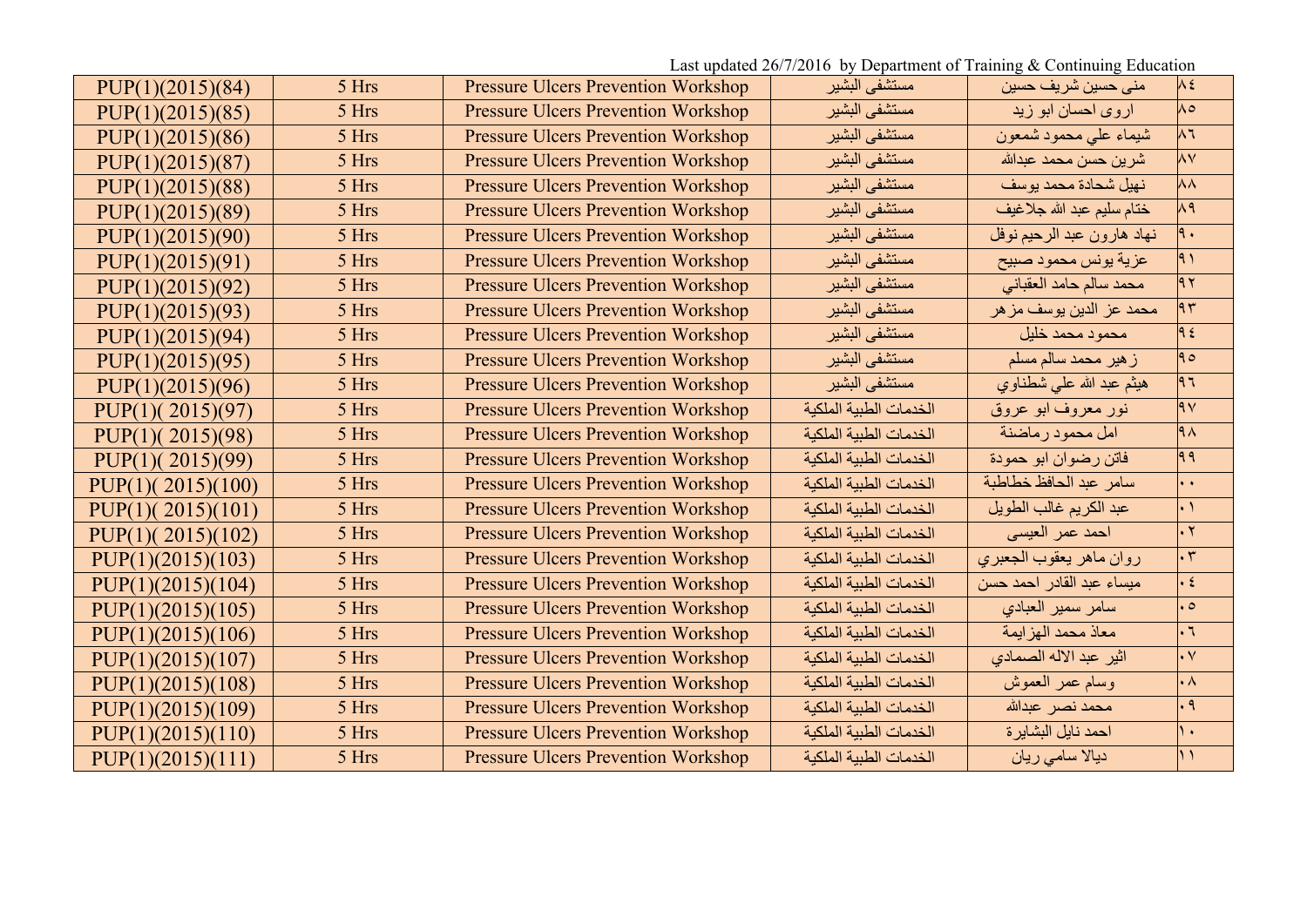Last updated 26/7/2016 by Department of Training & Continuing Education

| PUP(1)(2015)(84)  | 5 Hrs | <b>Pressure Ulcers Prevention Workshop</b> | مستشفى البشير          | منی حسین شریف حسین               | $\lambda$                                  |
|-------------------|-------|--------------------------------------------|------------------------|----------------------------------|--------------------------------------------|
| PUP(1)(2015)(85)  | 5 Hrs | <b>Pressure Ulcers Prevention Workshop</b> | مستشفى البشير          | اروی احسان ابو زید               | ٨٥                                         |
| PUP(1)(2015)(86)  | 5 Hrs | <b>Pressure Ulcers Prevention Workshop</b> | مستشفى البشير          | شيماء علىىمحمود شمعون            | $\lambda$ ٦                                |
| PUP(1)(2015)(87)  | 5 Hrs | <b>Pressure Ulcers Prevention Workshop</b> | مستشفى البشير          | شرين حسن محمد عبدالله            | ۸V                                         |
| PUP(1)(2015)(88)  | 5 Hrs | <b>Pressure Ulcers Prevention Workshop</b> | مستشفى البشير          | نهيل شحادة محمد يوسف             | $\overline{\mathsf{A}}\mathsf{A}$          |
| PUP(1)(2015)(89)  | 5 Hrs | <b>Pressure Ulcers Prevention Workshop</b> | مستشفى البشير          | ختام سليم عبد الله جلاغيف        | $\lambda$ ٩                                |
| PUP(1)(2015)(90)  | 5 Hrs | <b>Pressure Ulcers Prevention Workshop</b> | مستشفى البشير          | نهاد هارون عبد الرحيم نوفل       | $\mathsf{R}$ .                             |
| PUP(1)(2015)(91)  | 5 Hrs | <b>Pressure Ulcers Prevention Workshop</b> | مستشفى البشير          | عزية يونس محمود صبيح             | $\overline{\mathsf{P}}$                    |
| PUP(1)(2015)(92)  | 5 Hrs | <b>Pressure Ulcers Prevention Workshop</b> | مستشفى البشير          | محمد سالم حامد العقباني          | $\mathbf{R}$                               |
| PUP(1)(2015)(93)  | 5 Hrs | <b>Pressure Ulcers Prevention Workshop</b> | مستشفى البشير          | محمد عز الدين يوسف مز هر         | $\overline{195}$                           |
| PUP(1)(2015)(94)  | 5 Hrs | <b>Pressure Ulcers Prevention Workshop</b> | مستشفى البشير          | محمود محمد خليل                  | 95                                         |
| PUP(1)(2015)(95)  | 5 Hrs | <b>Pressure Ulcers Prevention Workshop</b> | مستشفى البشير          | زهير محمد سالم مسلم              | 90                                         |
| PUP(1)(2015)(96)  | 5 Hrs | <b>Pressure Ulcers Prevention Workshop</b> | مستشفى البشير          | هيثم عبد الله علىي شطناوي        | 97                                         |
| PUP(1)(2015)(97)  | 5 Hrs | <b>Pressure Ulcers Prevention Workshop</b> | الخدمات الطببة الملكبة | نور معروف ابو عروق               | $\overline{\mathsf{R}\mathsf{V}}$          |
| PUP(1)(2015)(98)  | 5 Hrs | <b>Pressure Ulcers Prevention Workshop</b> | الخدمات الطببة الملكبة | امل محمود رماضنة                 | <b>A</b>                                   |
| PUP(1)(2015)(99)  | 5 Hrs | <b>Pressure Ulcers Prevention Workshop</b> | الخدمات الطببة الملكبة | فاتن رضوان ابو حمودة             | 99                                         |
| PUP(1)(2015)(100) | 5 Hrs | <b>Pressure Ulcers Prevention Workshop</b> | الخدمات الطببة الملكبة | سامر عبد الحافظ خطاطبة           | $\ddot{\phantom{1}}$                       |
| PUP(1)(2015)(101) | 5 Hrs | <b>Pressure Ulcers Prevention Workshop</b> | الخدمات الطببة الملكبة | عبد الكريم غالب الطويل           | $\cdot$ \                                  |
| PUP(1)(2015)(102) | 5 Hrs | <b>Pressure Ulcers Prevention Workshop</b> | الخدمات الطبية الملكية | احمد عمر العيسى                  | $\cdot$ $\cdot$                            |
| PUP(1)(2015)(103) | 5 Hrs | <b>Pressure Ulcers Prevention Workshop</b> | الخدمات الطببة الملكبة | روان ماهر يعقوب الجعبري          | $\overline{\cdot \tau}$                    |
| PUP(1)(2015)(104) | 5 Hrs | <b>Pressure Ulcers Prevention Workshop</b> | الخدمات الطببة الملكبة | ميساء عبد القادر احمد حسن        | $\cdot$ {                                  |
| PUP(1)(2015)(105) | 5 Hrs | <b>Pressure Ulcers Prevention Workshop</b> | الخدمات الطببة الملكبة | سامر سمير العبادي                | $\bullet$                                  |
| PUP(1)(2015)(106) | 5 Hrs | <b>Pressure Ulcers Prevention Workshop</b> | الخدمات الطبية الملكية | معاذ محمد الهز ايمة              | $\cdot$ 7                                  |
| PUP(1)(2015)(107) | 5 Hrs | <b>Pressure Ulcers Prevention Workshop</b> | الخدمات الطببة الملكبة | اللير عبد الاله الصمادي          | $\overline{\mathsf{v}}$                    |
| PUP(1)(2015)(108) | 5 Hrs | <b>Pressure Ulcers Prevention Workshop</b> | الخدمات الطببة الملكبة | وسام عمر العموش                  | $\boldsymbol{\cdot}$ $\boldsymbol{\wedge}$ |
| PUP(1)(2015)(109) | 5 Hrs | <b>Pressure Ulcers Prevention Workshop</b> | الخدمات الطبية الملكية | محمد نصر عبدالله                 | .9                                         |
| PUP(1)(2015)(110) | 5 Hrs | <b>Pressure Ulcers Prevention Workshop</b> | الخدمات الطبية الملكية | احمد نايل البشاير ة              | $\mathsf{h}$ .                             |
| PUP(1)(2015)(111) | 5 Hrs | <b>Pressure Ulcers Prevention Workshop</b> | الخدمات الطبية الملكية | دیالا سا <i>می ر</i> یا <i>ن</i> | $\mathsf{N}$                               |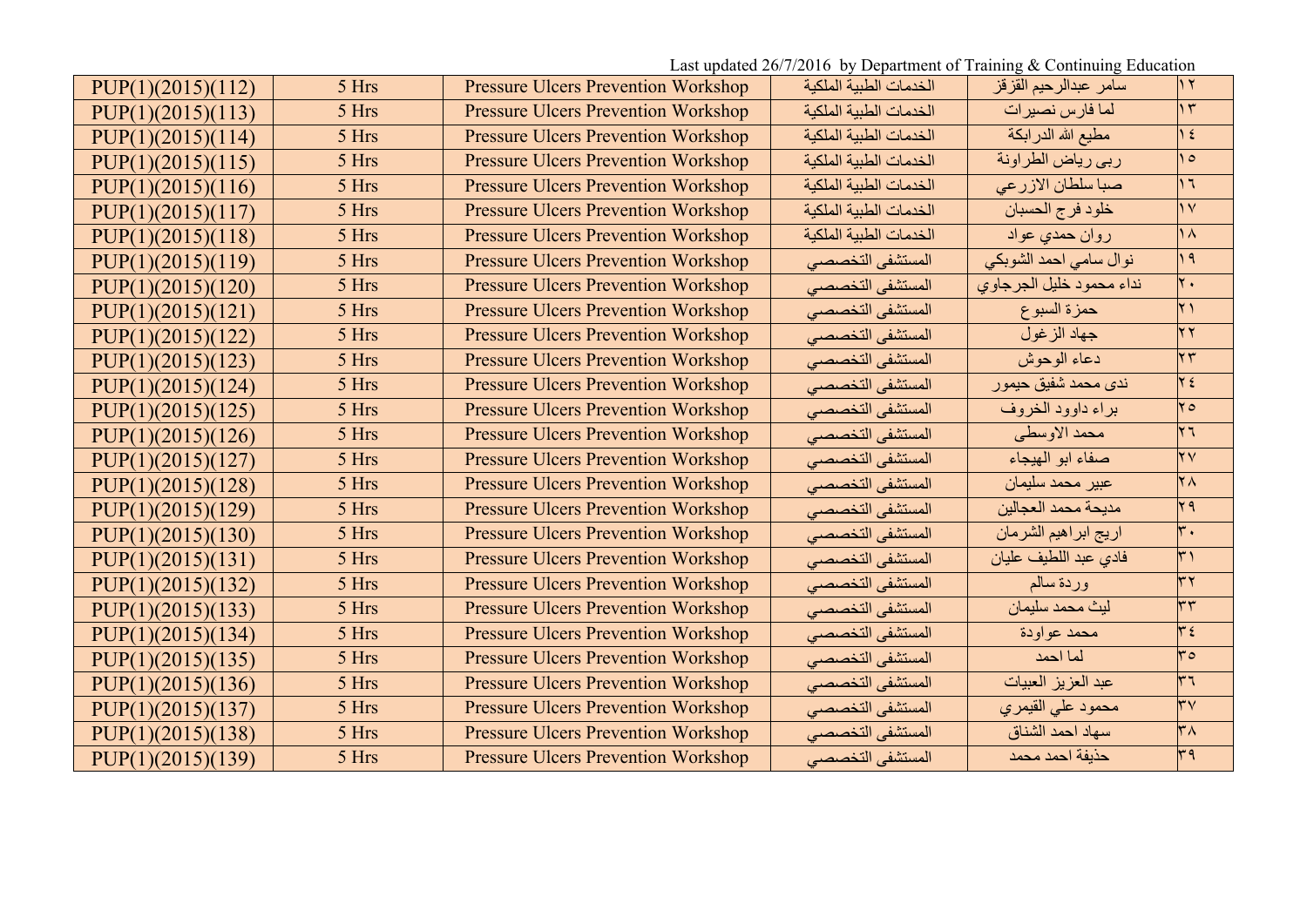Last updated 26/7/2016 by Department of Training & Continuing Education

| PUP(1)(2015)(112) | 5 Hrs | <b>Pressure Ulcers Prevention Workshop</b> | الخدمات الطببة الملكبة | سامر عبدالرحيم القزقز    | $\mathbf{v}$           |
|-------------------|-------|--------------------------------------------|------------------------|--------------------------|------------------------|
| PUP(1)(2015)(113) | 5 Hrs | <b>Pressure Ulcers Prevention Workshop</b> | الخدمات الطببة الملكبة | لما فارس نصير ات         | $\eta$                 |
| PUP(1)(2015)(114) | 5 Hrs | <b>Pressure Ulcers Prevention Workshop</b> | الخدمات الطبية الملكية | مطيع الله الدرابكة       | $\frac{1}{2}$          |
| PUP(1)(2015)(115) | 5 Hrs | <b>Pressure Ulcers Prevention Workshop</b> | الخدمات الطببة الملكبة | ربي رياض الطراونة        | $\theta$               |
| PUP(1)(2015)(116) | 5 Hrs | <b>Pressure Ulcers Prevention Workshop</b> | الخدمات الطببة الملكبة | صبا سلطان الازرعي        | $\overline{11}$        |
| PUP(1)(2015)(117) | 5 Hrs | <b>Pressure Ulcers Prevention Workshop</b> | الخدمات الطببة الملكبة | خلود فرج الحسبان         | $\gamma$               |
| PUP(1)(2015)(118) | 5 Hrs | <b>Pressure Ulcers Prevention Workshop</b> | الخدمات الطبية الملكية | روان حمدي عواد           | $\Lambda$              |
| PUP(1)(2015)(119) | 5 Hrs | <b>Pressure Ulcers Prevention Workshop</b> | المستشفى التخصصي       | نوال سامي احمد الشوبكي   | $\sqrt{9}$             |
| PUP(1)(2015)(120) | 5 Hrs | <b>Pressure Ulcers Prevention Workshop</b> | المستشفى التخصصي       | نداء محمود خليل الجرجاوي | $\mathsf{k}$ .         |
| PUP(1)(2015)(121) | 5 Hrs | <b>Pressure Ulcers Prevention Workshop</b> | المستشفى التخصصي       | حمزة السبوع              | $\mathsf{r} \setminus$ |
| PUP(1)(2015)(122) | 5 Hrs | <b>Pressure Ulcers Prevention Workshop</b> | المستشفى التخصصي       | جهاد الزغول              | $\mathsf{r}\mathsf{r}$ |
| PUP(1)(2015)(123) | 5 Hrs | <b>Pressure Ulcers Prevention Workshop</b> | المستشفى التخصصي       | دعاء الوحوش              | $\mathbf{r}$           |
| PUP(1)(2015)(124) | 5 Hrs | <b>Pressure Ulcers Prevention Workshop</b> | المستشفى التخصصي       | ندي محمد شفيق حيمور      | $Y \xi$                |
| PUP(1)(2015)(125) | 5 Hrs | <b>Pressure Ulcers Prevention Workshop</b> | المستشفى التخصصي       | براء داوود الخروف        | $\mathsf{r}\circ$      |
| PUP(1)(2015)(126) | 5 Hrs | <b>Pressure Ulcers Prevention Workshop</b> | المستشفى التخصصي       | محمد الاوسطى             | $\mathsf{r}$           |
| PUP(1)(2015)(127) | 5 Hrs | <b>Pressure Ulcers Prevention Workshop</b> | المستشفى التخصصي       | صفاء ابو الهيجاء         | $\mathsf{Y}\mathsf{V}$ |
| PUP(1)(2015)(128) | 5 Hrs | <b>Pressure Ulcers Prevention Workshop</b> | المستشفى التخصصي       | عبير محمد سليمان         | $\mathsf{Y}\wedge$     |
| PUP(1)(2015)(129) | 5 Hrs | <b>Pressure Ulcers Prevention Workshop</b> | المستشفى التخصصي       | مديحة محمد العجالين      | $\overline{Y}$ ۹       |
| PUP(1)(2015)(130) | 5 Hrs | <b>Pressure Ulcers Prevention Workshop</b> | المستشفى التخصصي       | اريج ابراهيم الشرمان     | $\mathbf{r}$ .         |
| PUP(1)(2015)(131) | 5 Hrs | <b>Pressure Ulcers Prevention Workshop</b> | المستشفى التخصصي       | فادي عبد اللطيف عليان    | $\overline{r}$         |
| PUP(1)(2015)(132) | 5 Hrs | <b>Pressure Ulcers Prevention Workshop</b> | المستشفى التخصصى       | وردة سالم                | ٣٢                     |
| PUP(1)(2015)(133) | 5 Hrs | <b>Pressure Ulcers Prevention Workshop</b> | المستشفى التخصصي       | ليث محمد سليمان          | $\overline{\tau}$      |
| PUP(1)(2015)(134) | 5 Hrs | <b>Pressure Ulcers Prevention Workshop</b> | المستشفى التخصصي       | محمد عواودة              | $\mathbf{r}$ {         |
| PUP(1)(2015)(135) | 5 Hrs | <b>Pressure Ulcers Prevention Workshop</b> | المستشفى التخصصي       | لما احمد                 | $r \circ$              |
| PUP(1)(2015)(136) | 5 Hrs | <b>Pressure Ulcers Prevention Workshop</b> | المستشفى التخصصي       | عبد العزيز العبيات       | ٣٦                     |
| PUP(1)(2015)(137) | 5 Hrs | <b>Pressure Ulcers Prevention Workshop</b> | المستشفى التخصصي       | محمود على القيمري        | $r_{V}$                |
| PUP(1)(2015)(138) | 5 Hrs | <b>Pressure Ulcers Prevention Workshop</b> | المستشفى التخصصي       | سهاد احمد الشناق         | $r_A$                  |
| PUP(1)(2015)(139) | 5 Hrs | <b>Pressure Ulcers Prevention Workshop</b> | المستشفى التخصصي       | حذيفة احمد محمد          | ٣٩                     |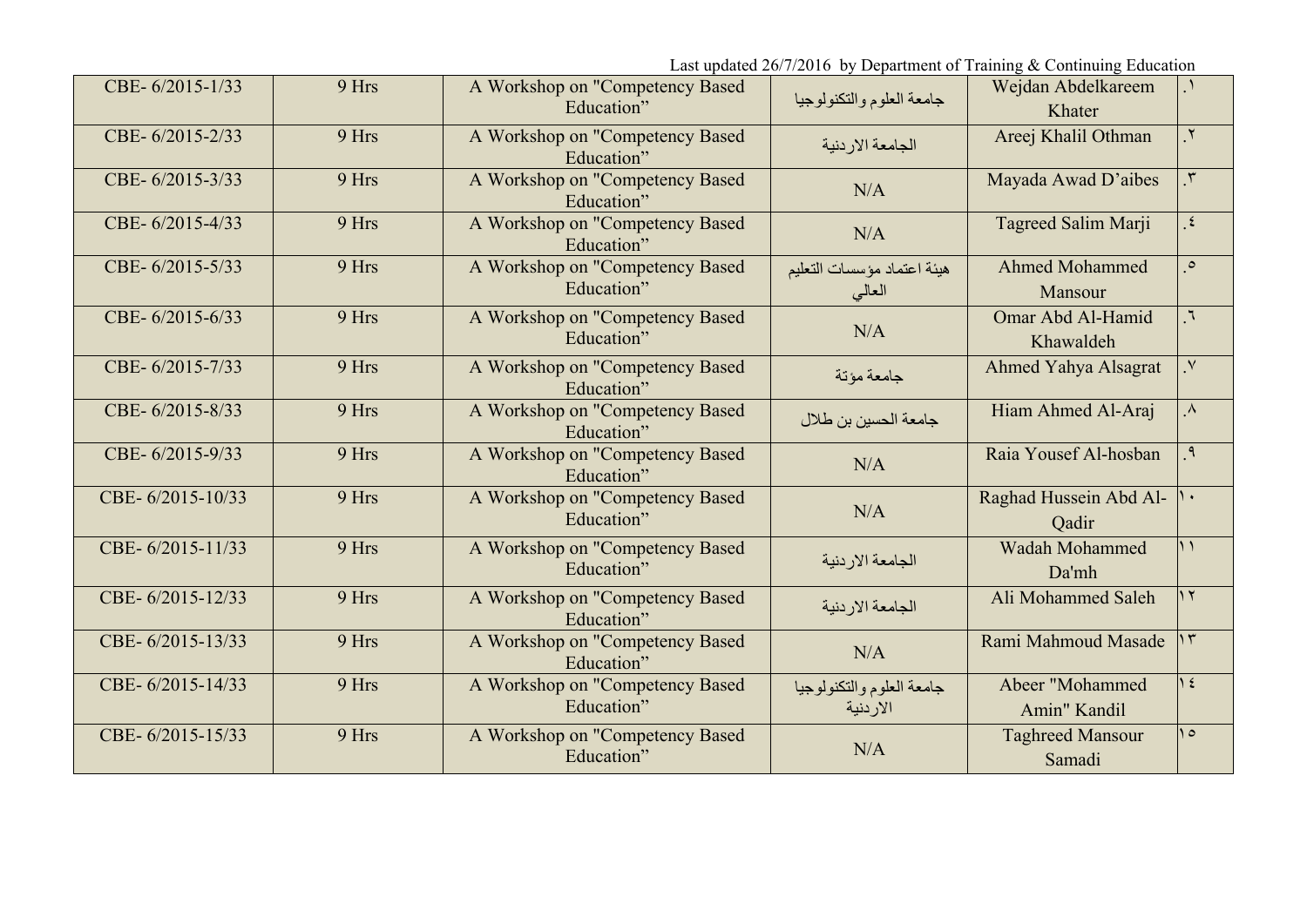| CBE-6/2015-1/33  | 9 Hrs | A Workshop on "Competency Based<br>Education" | جامعة العلوم والتكنولوجيا             | Wejdan Abdelkareem<br>Khater            |                        |
|------------------|-------|-----------------------------------------------|---------------------------------------|-----------------------------------------|------------------------|
| CBE-6/2015-2/33  | 9 Hrs | A Workshop on "Competency Based<br>Education" | الجامعة الار دنية                     | Areej Khalil Othman                     | ٢                      |
| CBE-6/2015-3/33  | 9 Hrs | A Workshop on "Competency Based<br>Education" | N/A                                   | Mayada Awad D'aibes                     | $\mathbf{r}$           |
| CBE-6/2015-4/33  | 9 Hrs | A Workshop on "Competency Based<br>Education" | N/A                                   | Tagreed Salim Marji                     | $\epsilon$             |
| CBE-6/2015-5/33  | 9 Hrs | A Workshop on "Competency Based<br>Education" | هيئة اعتماد مؤسسات التعليم<br>العالي  | <b>Ahmed Mohammed</b><br>Mansour        | $\circ$                |
| CBE-6/2015-6/33  | 9 Hrs | A Workshop on "Competency Based<br>Education" | N/A                                   | Omar Abd Al-Hamid<br>Khawaldeh          | $\mathbb{I}$           |
| CBE-6/2015-7/33  | 9 Hrs | A Workshop on "Competency Based<br>Education" | جامعة مؤتة                            | Ahmed Yahya Alsagrat                    | $\mathsf{V}$           |
| CBE-6/2015-8/33  | 9 Hrs | A Workshop on "Competency Based<br>Education" | جامعة الحسين بن طلال                  | Hiam Ahmed Al-Araj                      | $\lambda$              |
| CBE-6/2015-9/33  | 9 Hrs | A Workshop on "Competency Based<br>Education" | N/A                                   | Raia Yousef Al-hosban                   | $\mathsf q$            |
| CBE-6/2015-10/33 | 9 Hrs | A Workshop on "Competency Based<br>Education" | N/A                                   | Raghad Hussein Abd Al-   \ \ \<br>Qadir |                        |
| CBE-6/2015-11/33 | 9 Hrs | A Workshop on "Competency Based<br>Education" | الجامعة الاردنية                      | Wadah Mohammed<br>Da'mh                 | $\mathcal{L}$          |
| CBE-6/2015-12/33 | 9 Hrs | A Workshop on "Competency Based<br>Education" | الجامعة الاردنية                      | Ali Mohammed Saleh                      | $\gamma$               |
| CBE-6/2015-13/33 | 9 Hrs | A Workshop on "Competency Based<br>Education" | N/A                                   | Rami Mahmoud Masade                     | $\mathsf{h}\mathsf{r}$ |
| CBE-6/2015-14/33 | 9 Hrs | A Workshop on "Competency Based<br>Education" | جامعة العلوم والتكنولوجيا<br>الاردنية | Abeer "Mohammed<br>Amin" Kandil         | $\frac{1}{2}$          |
| CBE-6/2015-15/33 | 9 Hrs | A Workshop on "Competency Based<br>Education" | N/A                                   | <b>Taghreed Mansour</b><br>Samadi       | $\circ$                |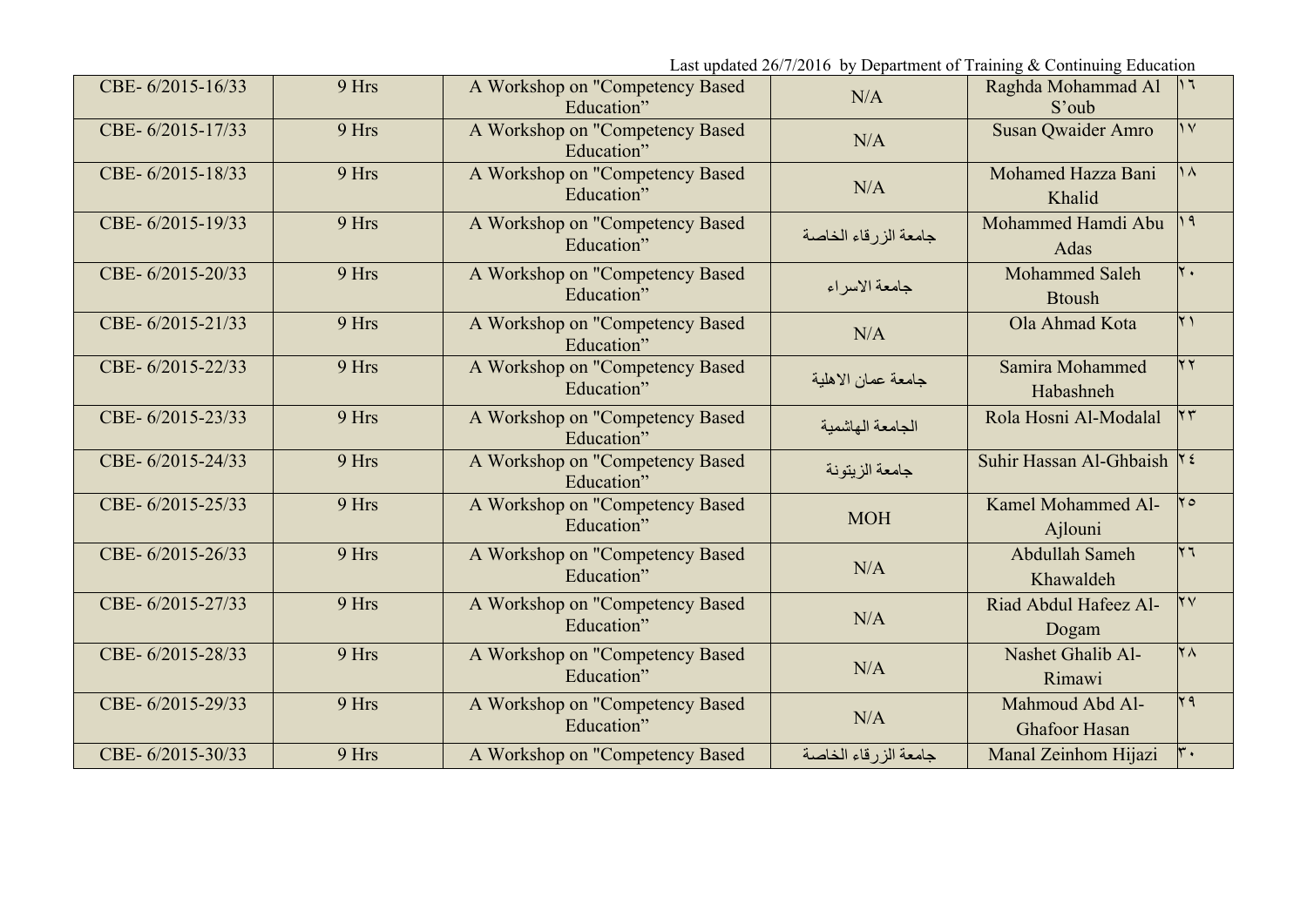| CBE-6/2015-16/33 | 9 Hrs | A Workshop on "Competency Based<br>Education" | N/A                  | Raghda Mohammad Al<br>S'oub             | $\mathsf{h}\mathsf{r}$  |
|------------------|-------|-----------------------------------------------|----------------------|-----------------------------------------|-------------------------|
| CBE-6/2015-17/33 | 9 Hrs | A Workshop on "Competency Based<br>Education" | N/A                  | <b>Susan Qwaider Amro</b>               | $\overline{\mathsf{v}}$ |
| CBE-6/2015-18/33 | 9 Hrs | A Workshop on "Competency Based<br>Education" | N/A                  | Mohamed Hazza Bani<br>Khalid            | $\Lambda$               |
| CBE-6/2015-19/33 | 9 Hrs | A Workshop on "Competency Based<br>Education" | جامعة الزرقاء الخاصة | Mohammed Hamdi Abu<br>Adas              | $  \cdot  $             |
| CBE-6/2015-20/33 | 9 Hrs | A Workshop on "Competency Based<br>Education" | جامعة الاسر اء       | Mohammed Saleh<br><b>Btoush</b>         | $\mathsf{r}$ .          |
| CBE-6/2015-21/33 | 9 Hrs | A Workshop on "Competency Based<br>Education" | N/A                  | Ola Ahmad Kota                          | $\overline{Y}$          |
| CBE-6/2015-22/33 | 9 Hrs | A Workshop on "Competency Based<br>Education" | جامعة عمان الاهلية   | Samira Mohammed<br>Habashneh            | $\overline{Y}$          |
| CBE-6/2015-23/33 | 9 Hrs | A Workshop on "Competency Based<br>Education" | الجامعة الهاشمية     | Rola Hosni Al-Modalal                   | $\mathbf{r}$            |
| CBE-6/2015-24/33 | 9 Hrs | A Workshop on "Competency Based<br>Education" | جامعة الزيتونة       | Suhir Hassan Al-Ghbaish $\kappa$        |                         |
| CBE-6/2015-25/33 | 9 Hrs | A Workshop on "Competency Based<br>Education" | <b>MOH</b>           | Kamel Mohammed Al-<br>Ajlouni           | $\triangledown$         |
| CBE-6/2015-26/33 | 9 Hrs | A Workshop on "Competency Based<br>Education" | N/A                  | Abdullah Sameh<br>Khawaldeh             | $\mathsf{h}\mathsf{r}$  |
| CBE-6/2015-27/33 | 9 Hrs | A Workshop on "Competency Based<br>Education" | N/A                  | Riad Abdul Hafeez Al-<br>Dogam          | $\mathsf{Y}\mathsf{V}$  |
| CBE-6/2015-28/33 | 9 Hrs | A Workshop on "Competency Based<br>Education" | N/A                  | Nashet Ghalib Al-<br>Rimawi             | $\overline{Y}$          |
| CBE-6/2015-29/33 | 9 Hrs | A Workshop on "Competency Based<br>Education" | N/A                  | Mahmoud Abd Al-<br><b>Ghafoor Hasan</b> | k۹                      |
| CBE-6/2015-30/33 | 9 Hrs | A Workshop on "Competency Based               | جامعة الزرقاء الخاصة | Manal Zeinhom Hijazi                    | $\mathsf{r}\cdot$       |